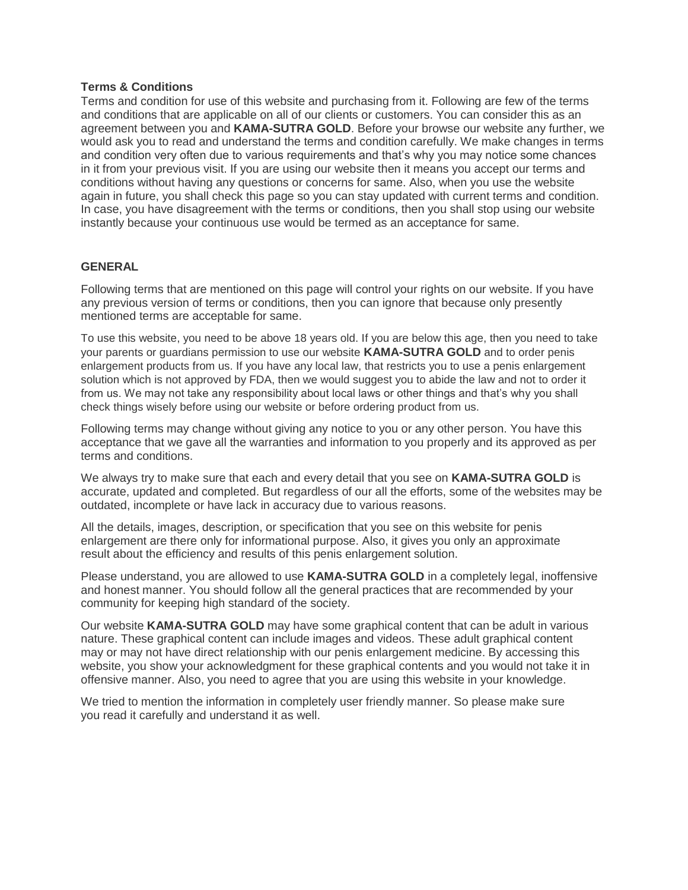### **Terms & Conditions**

Terms and condition for use of this website and purchasing from it. Following are few of the terms and conditions that are applicable on all of our clients or customers. You can consider this as an agreement between you and **KAMA-SUTRA GOLD**. Before your browse our website any further, we would ask you to read and understand the terms and condition carefully. We make changes in terms and condition very often due to various requirements and that's why you may notice some chances in it from your previous visit. If you are using our website then it means you accept our terms and conditions without having any questions or concerns for same. Also, when you use the website again in future, you shall check this page so you can stay updated with current terms and condition. In case, you have disagreement with the terms or conditions, then you shall stop using our website instantly because your continuous use would be termed as an acceptance for same.

### **GENERAL**

Following terms that are mentioned on this page will control your rights on our website. If you have any previous version of terms or conditions, then you can ignore that because only presently mentioned terms are acceptable for same.

To use this website, you need to be above 18 years old. If you are below this age, then you need to take your parents or guardians permission to use our website **KAMA-SUTRA GOLD** and to order penis enlargement products from us. If you have any local law, that restricts you to use a penis enlargement solution which is not approved by FDA, then we would suggest you to abide the law and not to order it from us. We may not take any responsibility about local laws or other things and that's why you shall check things wisely before using our website or before ordering product from us.

Following terms may change without giving any notice to you or any other person. You have this acceptance that we gave all the warranties and information to you properly and its approved as per terms and conditions.

We always try to make sure that each and every detail that you see on **KAMA-SUTRA GOLD** is accurate, updated and completed. But regardless of our all the efforts, some of the websites may be outdated, incomplete or have lack in accuracy due to various reasons.

All the details, images, description, or specification that you see on this website for penis enlargement are there only for informational purpose. Also, it gives you only an approximate result about the efficiency and results of this penis enlargement solution.

Please understand, you are allowed to use **KAMA-SUTRA GOLD** in a completely legal, inoffensive and honest manner. You should follow all the general practices that are recommended by your community for keeping high standard of the society.

Our website **KAMA-SUTRA GOLD** may have some graphical content that can be adult in various nature. These graphical content can include images and videos. These adult graphical content may or may not have direct relationship with our penis enlargement medicine. By accessing this website, you show your acknowledgment for these graphical contents and you would not take it in offensive manner. Also, you need to agree that you are using this website in your knowledge.

We tried to mention the information in completely user friendly manner. So please make sure you read it carefully and understand it as well.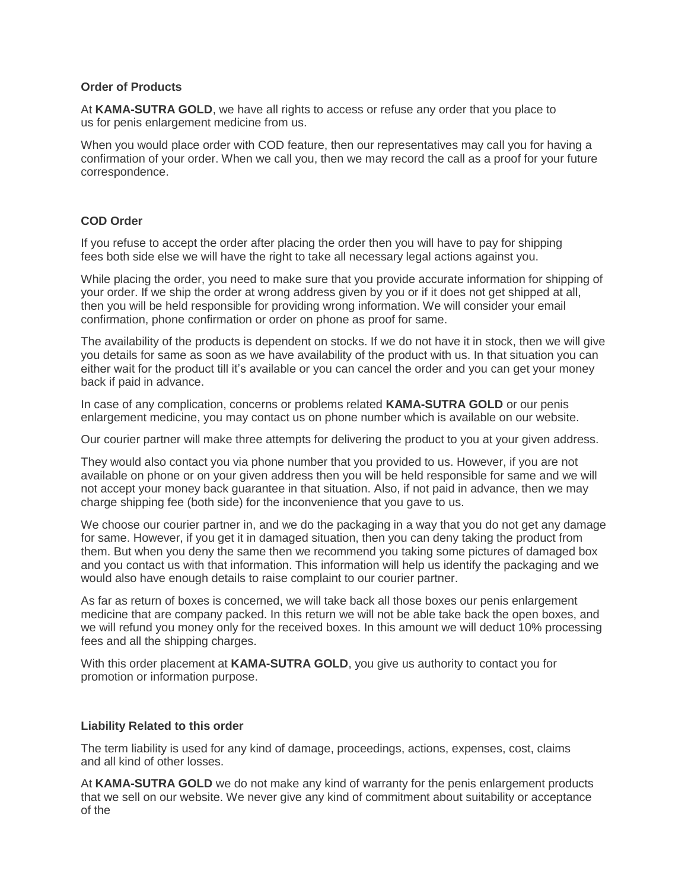### **Order of Products**

At **KAMA-SUTRA GOLD**, we have all rights to access or refuse any order that you place to us for penis enlargement medicine from us.

When you would place order with COD feature, then our representatives may call you for having a confirmation of your order. When we call you, then we may record the call as a proof for your future correspondence.

## **COD Order**

If you refuse to accept the order after placing the order then you will have to pay for shipping fees both side else we will have the right to take all necessary legal actions against you.

While placing the order, you need to make sure that you provide accurate information for shipping of your order. If we ship the order at wrong address given by you or if it does not get shipped at all, then you will be held responsible for providing wrong information. We will consider your email confirmation, phone confirmation or order on phone as proof for same.

The availability of the products is dependent on stocks. If we do not have it in stock, then we will give you details for same as soon as we have availability of the product with us. In that situation you can either wait for the product till it's available or you can cancel the order and you can get your money back if paid in advance.

In case of any complication, concerns or problems related **KAMA-SUTRA GOLD** or our penis enlargement medicine, you may contact us on phone number which is available on our website.

Our courier partner will make three attempts for delivering the product to you at your given address.

They would also contact you via phone number that you provided to us. However, if you are not available on phone or on your given address then you will be held responsible for same and we will not accept your money back guarantee in that situation. Also, if not paid in advance, then we may charge shipping fee (both side) for the inconvenience that you gave to us.

We choose our courier partner in, and we do the packaging in a way that you do not get any damage for same. However, if you get it in damaged situation, then you can deny taking the product from them. But when you deny the same then we recommend you taking some pictures of damaged box and you contact us with that information. This information will help us identify the packaging and we would also have enough details to raise complaint to our courier partner.

As far as return of boxes is concerned, we will take back all those boxes our penis enlargement medicine that are company packed. In this return we will not be able take back the open boxes, and we will refund you money only for the received boxes. In this amount we will deduct 10% processing fees and all the shipping charges.

With this order placement at **KAMA-SUTRA GOLD**, you give us authority to contact you for promotion or information purpose.

# **Liability Related to this order**

The term liability is used for any kind of damage, proceedings, actions, expenses, cost, claims and all kind of other losses.

At **KAMA-SUTRA GOLD** we do not make any kind of warranty for the penis enlargement products that we sell on our website. We never give any kind of commitment about suitability or acceptance of the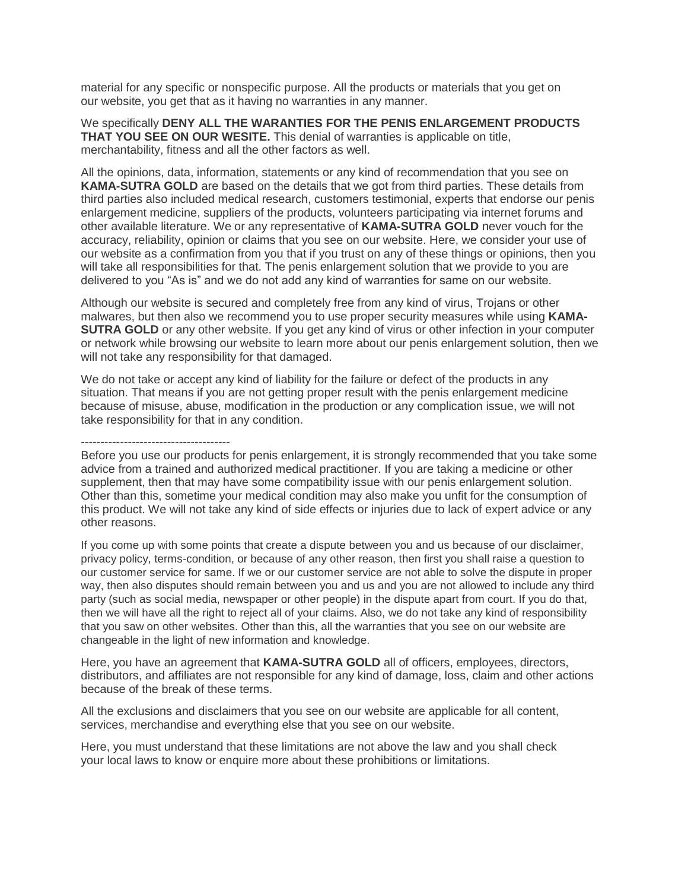material for any specific or nonspecific purpose. All the products or materials that you get on our website, you get that as it having no warranties in any manner.

We specifically **DENY ALL THE WARANTIES FOR THE PENIS ENLARGEMENT PRODUCTS THAT YOU SEE ON OUR WESITE.** This denial of warranties is applicable on title, merchantability, fitness and all the other factors as well.

All the opinions, data, information, statements or any kind of recommendation that you see on **KAMA-SUTRA GOLD** are based on the details that we got from third parties. These details from third parties also included medical research, customers testimonial, experts that endorse our penis enlargement medicine, suppliers of the products, volunteers participating via internet forums and other available literature. We or any representative of **KAMA-SUTRA GOLD** never vouch for the accuracy, reliability, opinion or claims that you see on our website. Here, we consider your use of our website as a confirmation from you that if you trust on any of these things or opinions, then you will take all responsibilities for that. The penis enlargement solution that we provide to you are delivered to you "As is" and we do not add any kind of warranties for same on our website.

Although our website is secured and completely free from any kind of virus, Trojans or other malwares, but then also we recommend you to use proper security measures while using **KAMA-SUTRA GOLD** or any other website. If you get any kind of virus or other infection in your computer or network while browsing our website to learn more about our penis enlargement solution, then we will not take any responsibility for that damaged.

We do not take or accept any kind of liability for the failure or defect of the products in any situation. That means if you are not getting proper result with the penis enlargement medicine because of misuse, abuse, modification in the production or any complication issue, we will not take responsibility for that in any condition.

--------------------------------------

Before you use our products for penis enlargement, it is strongly recommended that you take some advice from a trained and authorized medical practitioner. If you are taking a medicine or other supplement, then that may have some compatibility issue with our penis enlargement solution. Other than this, sometime your medical condition may also make you unfit for the consumption of this product. We will not take any kind of side effects or injuries due to lack of expert advice or any other reasons.

If you come up with some points that create a dispute between you and us because of our disclaimer, privacy policy, terms-condition, or because of any other reason, then first you shall raise a question to our customer service for same. If we or our customer service are not able to solve the dispute in proper way, then also disputes should remain between you and us and you are not allowed to include any third party (such as social media, newspaper or other people) in the dispute apart from court. If you do that, then we will have all the right to reject all of your claims. Also, we do not take any kind of responsibility that you saw on other websites. Other than this, all the warranties that you see on our website are changeable in the light of new information and knowledge.

Here, you have an agreement that **KAMA-SUTRA GOLD** all of officers, employees, directors, distributors, and affiliates are not responsible for any kind of damage, loss, claim and other actions because of the break of these terms.

All the exclusions and disclaimers that you see on our website are applicable for all content, services, merchandise and everything else that you see on our website.

Here, you must understand that these limitations are not above the law and you shall check your local laws to know or enquire more about these prohibitions or limitations.